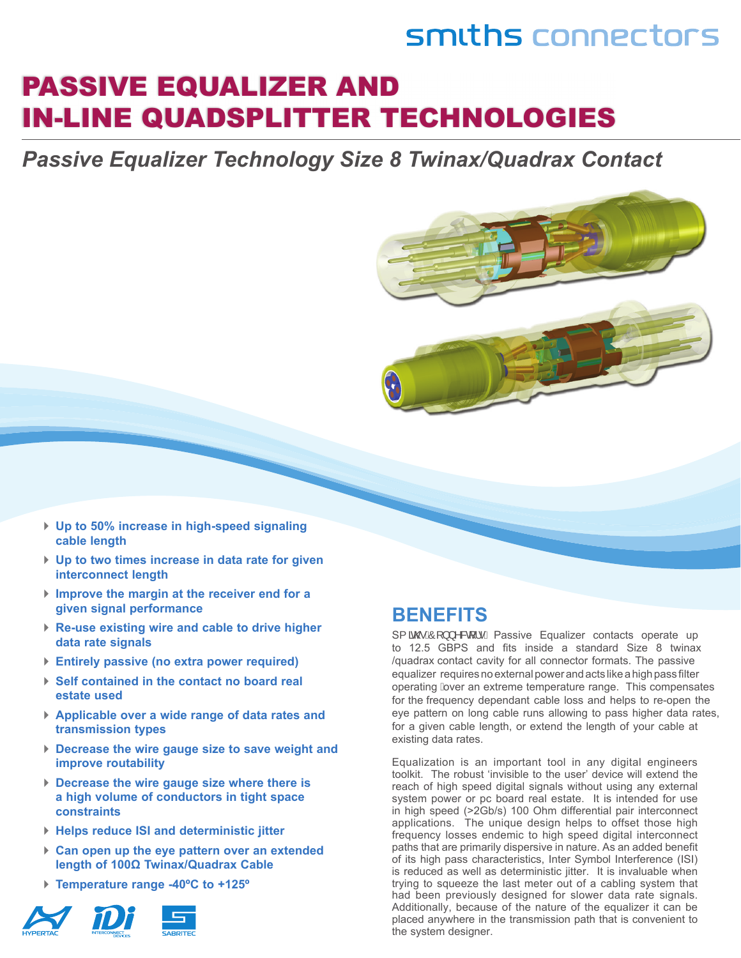### smiths connectors

### PASSIVE EQUALIZER AND IN-LINE QUADSPLITTER TECHNOLOGIES

*Passive Equalizer Technology Size 8 Twinax/Quadrax Contact*



- ► **Up to 50% increase in high-speed signaling cable length**
- ► **Up to two times increase in data rate for given interconnect length**
- ► **Improve the margin at the receiver end for a given signal performance**
- ► **Re-use existing wire and cable to drive higher data rate signals**
- ► **Entirely passive (no extra power required)**
- ► **Self contained in the contact no board real estate used**
- ► **Applicable over a wide range of data rates and transmission types**
- ► **Decrease the wire gauge size to save weight and improve routability**
- ► **Decrease the wire gauge size where there is a high volume of conductors in tight space constraints**
- ► **Helps reduce ISI and deterministic jitter**
- ► **Can open up the eye pattern over an extended length of 100Ω Twinax/Quadrax Cable**
- ► **Temperature range -40ºC to +125º**



### **BENEFITS**

S{  $\tilde{a}$ @AO[ } } ^&q ¦ • C Passive Equalizer contacts operate up to 12.5 GBPS and fits inside a standard Size 8 twinax /quadrax contact cavity for all connector formats. The passive equalizer requires no external power and acts like a high pass filter operating Aver an extreme temperature range. This compensates for the frequency dependant cable loss and helps to re-open the eye pattern on long cable runs allowing to pass higher data rates, for a given cable length, or extend the length of your cable at existing data rates.

Equalization is an important tool in any digital engineers toolkit. The robust 'invisible to the user' device will extend the reach of high speed digital signals without using any external system power or pc board real estate. It is intended for use in high speed (>2Gb/s) 100 Ohm differential pair interconnect applications. The unique design helps to offset those high frequency losses endemic to high speed digital interconnect paths that are primarily dispersive in nature. As an added benefit of its high pass characteristics, Inter Symbol Interference (ISI) is reduced as well as deterministic jitter. It is invaluable when trying to squeeze the last meter out of a cabling system that had been previously designed for slower data rate signals. Additionally, because of the nature of the equalizer it can be placed anywhere in the transmission path that is convenient to the system designer.